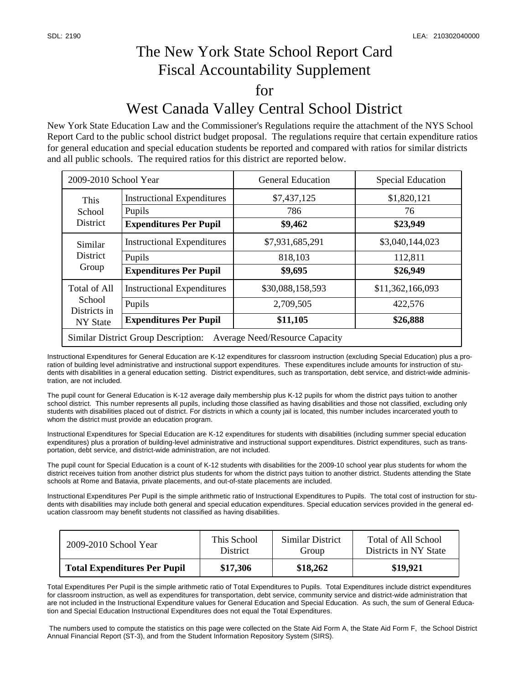## The New York State School Report Card Fiscal Accountability Supplement for West Canada Valley Central School District

New York State Education Law and the Commissioner's Regulations require the attachment of the NYS School Report Card to the public school district budget proposal. The regulations require that certain expenditure ratios for general education and special education students be reported and compared with ratios for similar districts and all public schools. The required ratios for this district are reported below.

| 2009-2010 School Year                                                               |                                             | <b>General Education</b> | <b>Special Education</b> |  |  |  |
|-------------------------------------------------------------------------------------|---------------------------------------------|--------------------------|--------------------------|--|--|--|
| This<br>School<br><b>District</b>                                                   | <b>Instructional Expenditures</b><br>Pupils | \$7,437,125<br>786       | \$1,820,121<br>76        |  |  |  |
|                                                                                     | <b>Expenditures Per Pupil</b>               | \$9,462                  | \$23,949                 |  |  |  |
| Similar<br><b>District</b><br>Group                                                 | <b>Instructional Expenditures</b>           | \$7,931,685,291          | \$3,040,144,023          |  |  |  |
|                                                                                     | Pupils                                      | 818,103                  | 112,811                  |  |  |  |
|                                                                                     | <b>Expenditures Per Pupil</b>               | \$9,695                  | \$26,949                 |  |  |  |
| <b>Total of All</b><br>School<br>Districts in<br>NY State                           | <b>Instructional Expenditures</b>           | \$30,088,158,593         | \$11,362,166,093         |  |  |  |
|                                                                                     | Pupils                                      | 2,709,505                | 422,576                  |  |  |  |
|                                                                                     | <b>Expenditures Per Pupil</b>               | \$11,105                 | \$26,888                 |  |  |  |
| <b>Similar District Group Description:</b><br><b>Average Need/Resource Capacity</b> |                                             |                          |                          |  |  |  |

Instructional Expenditures for General Education are K-12 expenditures for classroom instruction (excluding Special Education) plus a proration of building level administrative and instructional support expenditures. These expenditures include amounts for instruction of students with disabilities in a general education setting. District expenditures, such as transportation, debt service, and district-wide administration, are not included.

The pupil count for General Education is K-12 average daily membership plus K-12 pupils for whom the district pays tuition to another school district. This number represents all pupils, including those classified as having disabilities and those not classified, excluding only students with disabilities placed out of district. For districts in which a county jail is located, this number includes incarcerated youth to whom the district must provide an education program.

Instructional Expenditures for Special Education are K-12 expenditures for students with disabilities (including summer special education expenditures) plus a proration of building-level administrative and instructional support expenditures. District expenditures, such as transportation, debt service, and district-wide administration, are not included.

The pupil count for Special Education is a count of K-12 students with disabilities for the 2009-10 school year plus students for whom the district receives tuition from another district plus students for whom the district pays tuition to another district. Students attending the State schools at Rome and Batavia, private placements, and out-of-state placements are included.

Instructional Expenditures Per Pupil is the simple arithmetic ratio of Instructional Expenditures to Pupils. The total cost of instruction for students with disabilities may include both general and special education expenditures. Special education services provided in the general education classroom may benefit students not classified as having disabilities.

| $2009 - 2010$ School Year           | This School     | Similar District | Total of All School   |
|-------------------------------------|-----------------|------------------|-----------------------|
|                                     | <b>District</b> | Group            | Districts in NY State |
| <b>Total Expenditures Per Pupil</b> | \$17,306        | \$18,262         | \$19,921              |

Total Expenditures Per Pupil is the simple arithmetic ratio of Total Expenditures to Pupils. Total Expenditures include district expenditures for classroom instruction, as well as expenditures for transportation, debt service, community service and district-wide administration that are not included in the Instructional Expenditure values for General Education and Special Education. As such, the sum of General Education and Special Education Instructional Expenditures does not equal the Total Expenditures.

 The numbers used to compute the statistics on this page were collected on the State Aid Form A, the State Aid Form F, the School District Annual Financial Report (ST-3), and from the Student Information Repository System (SIRS).